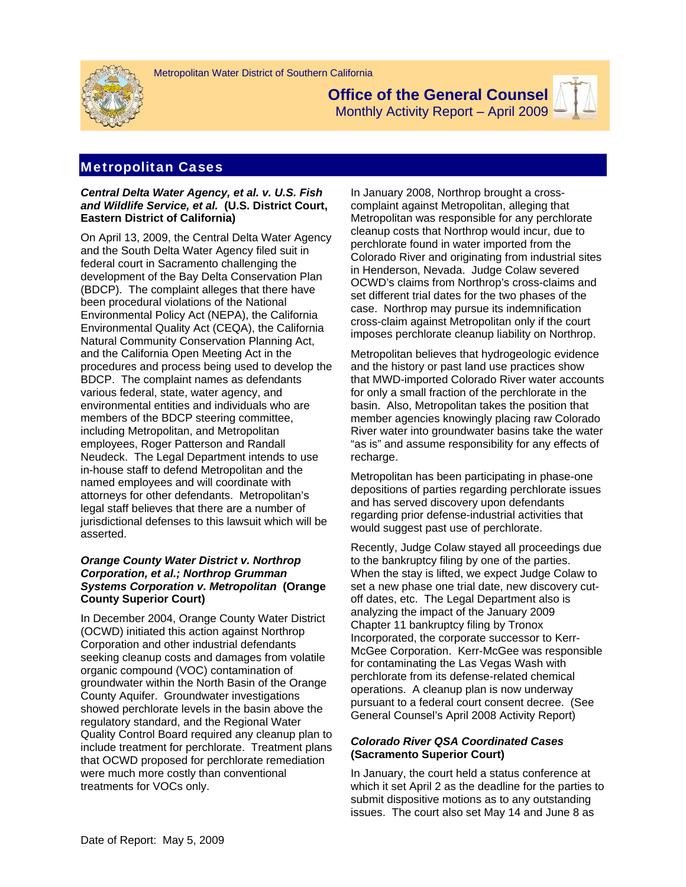



**Office of the General Counsel** 

Monthly Activity Report – April 2009

# Metropolitan Cases

### *Central Delta Water Agency, et al. v. U.S. Fish and Wildlife Service, et al.* **(U.S. District Court, Eastern District of California)**

On April 13, 2009, the Central Delta Water Agency and the South Delta Water Agency filed suit in federal court in Sacramento challenging the development of the Bay Delta Conservation Plan (BDCP). The complaint alleges that there have been procedural violations of the National Environmental Policy Act (NEPA), the California Environmental Quality Act (CEQA), the California Natural Community Conservation Planning Act, and the California Open Meeting Act in the procedures and process being used to develop the BDCP. The complaint names as defendants various federal, state, water agency, and environmental entities and individuals who are members of the BDCP steering committee, including Metropolitan, and Metropolitan employees, Roger Patterson and Randall Neudeck. The Legal Department intends to use in-house staff to defend Metropolitan and the named employees and will coordinate with attorneys for other defendants. Metropolitan's legal staff believes that there are a number of jurisdictional defenses to this lawsuit which will be asserted.

## *Orange County Water District v. Northrop Corporation, et al.; Northrop Grumman Systems Corporation v. Metropolitan* **(Orange County Superior Court)**

In December 2004, Orange County Water District (OCWD) initiated this action against Northrop Corporation and other industrial defendants seeking cleanup costs and damages from volatile organic compound (VOC) contamination of groundwater within the North Basin of the Orange County Aquifer. Groundwater investigations showed perchlorate levels in the basin above the regulatory standard, and the Regional Water Quality Control Board required any cleanup plan to include treatment for perchlorate. Treatment plans that OCWD proposed for perchlorate remediation were much more costly than conventional treatments for VOCs only.

In January 2008, Northrop brought a crosscomplaint against Metropolitan, alleging that Metropolitan was responsible for any perchlorate cleanup costs that Northrop would incur, due to perchlorate found in water imported from the Colorado River and originating from industrial sites in Henderson, Nevada. Judge Colaw severed OCWD's claims from Northrop's cross-claims and set different trial dates for the two phases of the case. Northrop may pursue its indemnification cross-claim against Metropolitan only if the court imposes perchlorate cleanup liability on Northrop.

Metropolitan believes that hydrogeologic evidence and the history or past land use practices show that MWD-imported Colorado River water accounts for only a small fraction of the perchlorate in the basin. Also, Metropolitan takes the position that member agencies knowingly placing raw Colorado River water into groundwater basins take the water "as is" and assume responsibility for any effects of recharge.

Metropolitan has been participating in phase-one depositions of parties regarding perchlorate issues and has served discovery upon defendants regarding prior defense-industrial activities that would suggest past use of perchlorate.

Recently, Judge Colaw stayed all proceedings due to the bankruptcy filing by one of the parties. When the stay is lifted, we expect Judge Colaw to set a new phase one trial date, new discovery cutoff dates, etc. The Legal Department also is analyzing the impact of the January 2009 Chapter 11 bankruptcy filing by Tronox Incorporated, the corporate successor to Kerr-McGee Corporation. Kerr-McGee was responsible for contaminating the Las Vegas Wash with perchlorate from its defense-related chemical operations. A cleanup plan is now underway pursuant to a federal court consent decree. (See General Counsel's April 2008 Activity Report)

# *Colorado River QSA Coordinated Cases*  **(Sacramento Superior Court)**

In January, the court held a status conference at which it set April 2 as the deadline for the parties to submit dispositive motions as to any outstanding issues. The court also set May 14 and June 8 as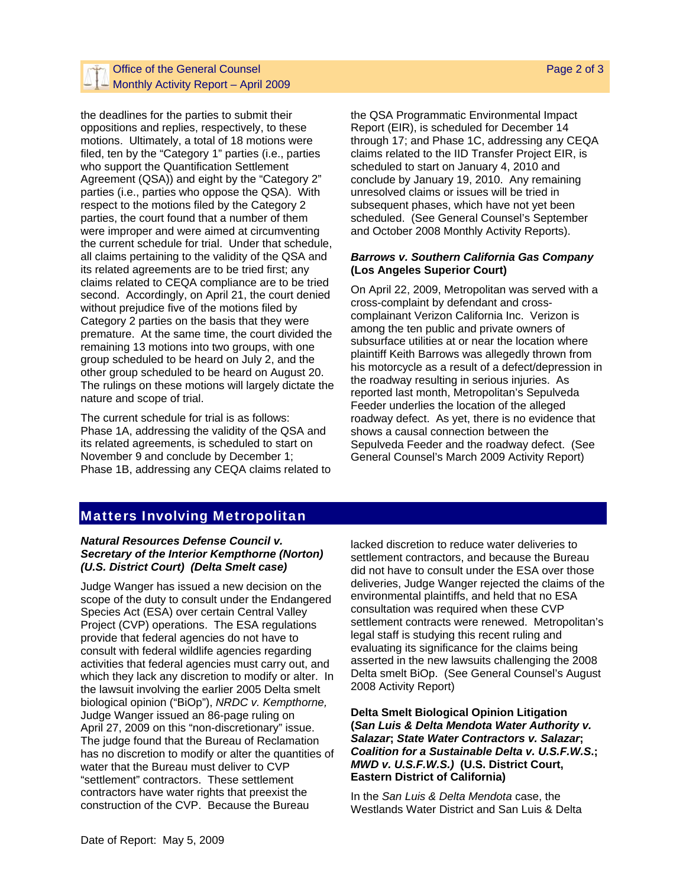# Office of the General Counsel  $-$  Monthly Activity Report – April 2009

the deadlines for the parties to submit their oppositions and replies, respectively, to these motions. Ultimately, a total of 18 motions were filed, ten by the "Category 1" parties (i.e., parties who support the Quantification Settlement Agreement (QSA)) and eight by the "Category 2" parties (i.e., parties who oppose the QSA). With respect to the motions filed by the Category 2 parties, the court found that a number of them were improper and were aimed at circumventing the current schedule for trial. Under that schedule, all claims pertaining to the validity of the QSA and its related agreements are to be tried first; any claims related to CEQA compliance are to be tried second. Accordingly, on April 21, the court denied without prejudice five of the motions filed by Category 2 parties on the basis that they were premature. At the same time, the court divided the remaining 13 motions into two groups, with one group scheduled to be heard on July 2, and the other group scheduled to be heard on August 20. The rulings on these motions will largely dictate the nature and scope of trial.

The current schedule for trial is as follows: Phase 1A, addressing the validity of the QSA and its related agreements, is scheduled to start on November 9 and conclude by December 1; Phase 1B, addressing any CEQA claims related to the QSA Programmatic Environmental Impact Report (EIR), is scheduled for December 14 through 17; and Phase 1C, addressing any CEQA claims related to the IID Transfer Project EIR, is scheduled to start on January 4, 2010 and conclude by January 19, 2010. Any remaining unresolved claims or issues will be tried in subsequent phases, which have not yet been scheduled. (See General Counsel's September and October 2008 Monthly Activity Reports).

#### *Barrows v. Southern California Gas Company* **(Los Angeles Superior Court)**

On April 22, 2009, Metropolitan was served with a cross-complaint by defendant and crosscomplainant Verizon California Inc. Verizon is among the ten public and private owners of subsurface utilities at or near the location where plaintiff Keith Barrows was allegedly thrown from his motorcycle as a result of a defect/depression in the roadway resulting in serious injuries. As reported last month, Metropolitan's Sepulveda Feeder underlies the location of the alleged roadway defect. As yet, there is no evidence that shows a causal connection between the Sepulveda Feeder and the roadway defect. (See General Counsel's March 2009 Activity Report)

# Matters Involving Metropolitan

#### *Natural Resources Defense Council v. Secretary of the Interior Kempthorne (Norton) (U.S. District Court) (Delta Smelt case)*

Judge Wanger has issued a new decision on the scope of the duty to consult under the Endangered Species Act (ESA) over certain Central Valley Project (CVP) operations. The ESA regulations provide that federal agencies do not have to consult with federal wildlife agencies regarding activities that federal agencies must carry out, and which they lack any discretion to modify or alter. In the lawsuit involving the earlier 2005 Delta smelt biological opinion ("BiOp"), *NRDC v. Kempthorne,* Judge Wanger issued an 86-page ruling on April 27, 2009 on this "non-discretionary" issue. The judge found that the Bureau of Reclamation has no discretion to modify or alter the quantities of water that the Bureau must deliver to CVP "settlement" contractors. These settlement contractors have water rights that preexist the construction of the CVP. Because the Bureau

lacked discretion to reduce water deliveries to settlement contractors, and because the Bureau did not have to consult under the ESA over those deliveries, Judge Wanger rejected the claims of the environmental plaintiffs, and held that no ESA consultation was required when these CVP settlement contracts were renewed. Metropolitan's legal staff is studying this recent ruling and evaluating its significance for the claims being asserted in the new lawsuits challenging the 2008 Delta smelt BiOp. (See General Counsel's August 2008 Activity Report)

### **Delta Smelt Biological Opinion Litigation (***San Luis & Delta Mendota Water Authority v. Salazar***;** *State Water Contractors v. Salazar***;**  *Coalition for a Sustainable Delta v. U.S.F.W.S***.;**  *MWD v. U.S.F.W.S.)* **(U.S. District Court, Eastern District of California)**

In the *San Luis & Delta Mendota* case, the Westlands Water District and San Luis & Delta